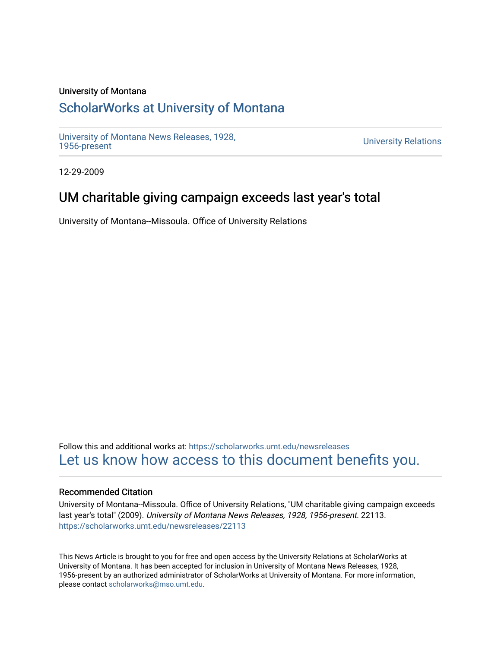### University of Montana

# [ScholarWorks at University of Montana](https://scholarworks.umt.edu/)

[University of Montana News Releases, 1928,](https://scholarworks.umt.edu/newsreleases) 

**University Relations** 

12-29-2009

# UM charitable giving campaign exceeds last year's total

University of Montana--Missoula. Office of University Relations

Follow this and additional works at: [https://scholarworks.umt.edu/newsreleases](https://scholarworks.umt.edu/newsreleases?utm_source=scholarworks.umt.edu%2Fnewsreleases%2F22113&utm_medium=PDF&utm_campaign=PDFCoverPages) [Let us know how access to this document benefits you.](https://goo.gl/forms/s2rGfXOLzz71qgsB2) 

#### Recommended Citation

University of Montana--Missoula. Office of University Relations, "UM charitable giving campaign exceeds last year's total" (2009). University of Montana News Releases, 1928, 1956-present. 22113. [https://scholarworks.umt.edu/newsreleases/22113](https://scholarworks.umt.edu/newsreleases/22113?utm_source=scholarworks.umt.edu%2Fnewsreleases%2F22113&utm_medium=PDF&utm_campaign=PDFCoverPages) 

This News Article is brought to you for free and open access by the University Relations at ScholarWorks at University of Montana. It has been accepted for inclusion in University of Montana News Releases, 1928, 1956-present by an authorized administrator of ScholarWorks at University of Montana. For more information, please contact [scholarworks@mso.umt.edu.](mailto:scholarworks@mso.umt.edu)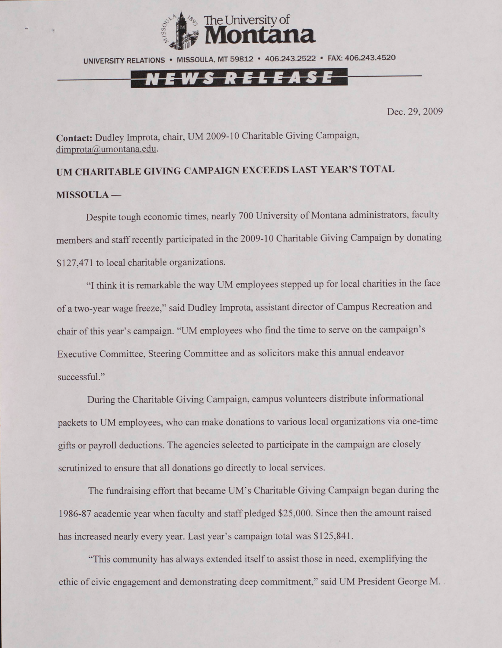



Dec. 29, 2009

**Contact:** Dudley Improta, chair, UM 2009-10 Charitable Giving Campaign, [dimprota@umontana.edu.](mailto:dimprota@umontana.edu)

# **UM CHARITABLE GIVING CAMPAIGN EXCEEDS LAST YEAR'S TOTAL**

### **MISSOULA —**

Despite tough economic times, nearly 700 University of Montana administrators, faculty members and staff recently participated in the 2009-10 Charitable Giving Campaign by donating \$127,471 to local charitable organizations.

"I think it is remarkable the way UM employees stepped up for local charities in the face of a two-year wage freeze," said Dudley Improta, assistant director of Campus Recreation and chair of this year's campaign. "UM employees who find the time to serve on the campaign's Executive Committee, Steering Committee and as solicitors make this annual endeavor successful."

During the Charitable Giving Campaign, campus volunteers distribute informational packets to UM employees, who can make donations to various local organizations via one-time gifts or payroll deductions. The agencies selected to participate in the campaign are closely scrutinized to ensure that all donations go directly to local services.

The fundraising effort that became UM's Charitable Giving Campaign began during the 1986-87 academic year when faculty and staff pledged \$25,000. Since then the amount raised has increased nearly every year. Last year's campaign total was \$125,841.

"This community has always extended itself to assist those in need, exemplifying the ethic of civic engagement and demonstrating deep commitment," said UM President George M.